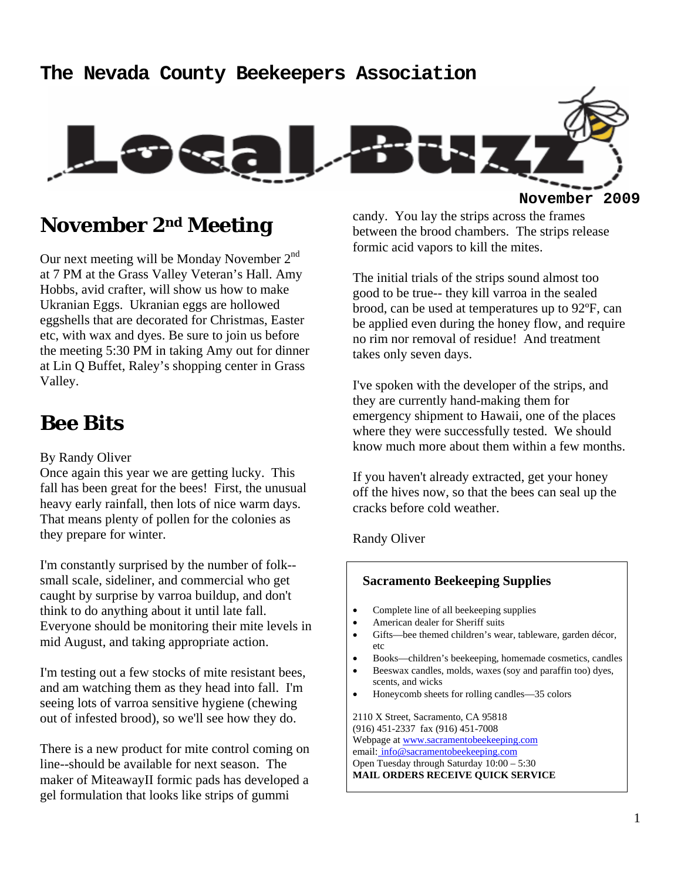#### **The Nevada County Beekeepers Association**



#### **November 2nd Meeting**

Our next meeting will be Monday November 2<sup>nd</sup> at 7 PM at the Grass Valley Veteran's Hall. Amy Hobbs, avid crafter, will show us how to make Ukranian Eggs. Ukranian eggs are hollowed eggshells that are decorated for Christmas, Easter etc, with wax and dyes. Be sure to join us before the meeting 5:30 PM in taking Amy out for dinner at Lin Q Buffet, Raley's shopping center in Grass Valley.

#### **Bee Bits**

#### By Randy Oliver

Once again this year we are getting lucky. This fall has been great for the bees! First, the unusual heavy early rainfall, then lots of nice warm days. That means plenty of pollen for the colonies as they prepare for winter.

I'm constantly surprised by the number of folk- small scale, sideliner, and commercial who get caught by surprise by varroa buildup, and don't think to do anything about it until late fall. Everyone should be monitoring their mite levels in mid August, and taking appropriate action.

I'm testing out a few stocks of mite resistant bees, and am watching them as they head into fall. I'm seeing lots of varroa sensitive hygiene (chewing out of infested brood), so we'll see how they do.

There is a new product for mite control coming on line--should be available for next season. The maker of MiteawayII formic pads has developed a gel formulation that looks like strips of gummi

candy. You lay the strips across the frames between the brood chambers. The strips release formic acid vapors to kill the mites.

The initial trials of the strips sound almost too good to be true-- they kill varroa in the sealed brood, can be used at temperatures up to 92ºF, can be applied even during the honey flow, and require no rim nor removal of residue! And treatment takes only seven days.

I've spoken with the developer of the strips, and they are currently hand-making them for emergency shipment to Hawaii, one of the places where they were successfully tested. We should know much more about them within a few months.

If you haven't already extracted, get your honey off the hives now, so that the bees can seal up the cracks before cold weather.

Randy Oliver

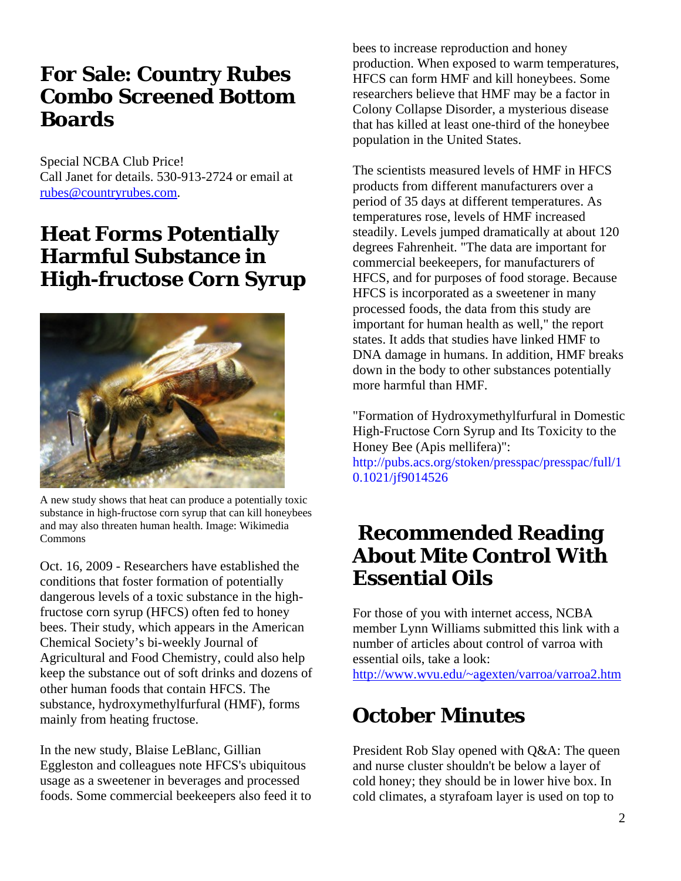## **For Sale: Country Rubes Combo Screened Bottom Boards**

Special NCBA Club Price! Call Janet for details. 530-913-2724 or email at rubes@countryrubes.com.

### **Heat Forms Potentially Harmful Substance in High-fructose Corn Syrup**



A new study shows that heat can produce a potentially toxic substance in high-fructose corn syrup that can kill honeybees and may also threaten human health. Image: Wikimedia Commons

Oct. 16, 2009 - Researchers have established the conditions that foster formation of potentially dangerous levels of a toxic substance in the highfructose corn syrup (HFCS) often fed to honey bees. Their study, which appears in the American Chemical Society's bi-weekly Journal of Agricultural and Food Chemistry, could also help keep the substance out of soft drinks and dozens of other human foods that contain HFCS. The substance, hydroxymethylfurfural (HMF), forms mainly from heating fructose.

In the new study, Blaise LeBlanc, Gillian Eggleston and colleagues note HFCS's ubiquitous usage as a sweetener in beverages and processed foods. Some commercial beekeepers also feed it to

bees to increase reproduction and honey production. When exposed to warm temperatures, HFCS can form HMF and kill honeybees. Some researchers believe that HMF may be a factor in Colony Collapse Disorder, a mysterious disease that has killed at least one-third of the honeybee population in the United States.

The scientists measured levels of HMF in HFCS products from different manufacturers over a period of 35 days at different temperatures. As temperatures rose, levels of HMF increased steadily. Levels jumped dramatically at about 120 degrees Fahrenheit. "The data are important for commercial beekeepers, for manufacturers of HFCS, and for purposes of food storage. Because HFCS is incorporated as a sweetener in many processed foods, the data from this study are important for human health as well," the report states. It adds that studies have linked HMF to DNA damage in humans. In addition, HMF breaks down in the body to other substances potentially more harmful than HMF.

"Formation of Hydroxymethylfurfural in Domestic High-Fructose Corn Syrup and Its Toxicity to the Honey Bee (Apis mellifera)":

http://pubs.acs.org/stoken/presspac/presspac/full/1 0.1021/jf9014526

### **Recommended Reading About Mite Control With Essential Oils**

For those of you with internet access, NCBA member Lynn Williams submitted this link with a number of articles about control of varroa with essential oils, take a look:

http://www.wvu.edu/~agexten/varroa/varroa2.htm

# **October Minutes**

President Rob Slay opened with Q&A: The queen and nurse cluster shouldn't be below a layer of cold honey; they should be in lower hive box. In cold climates, a styrafoam layer is used on top to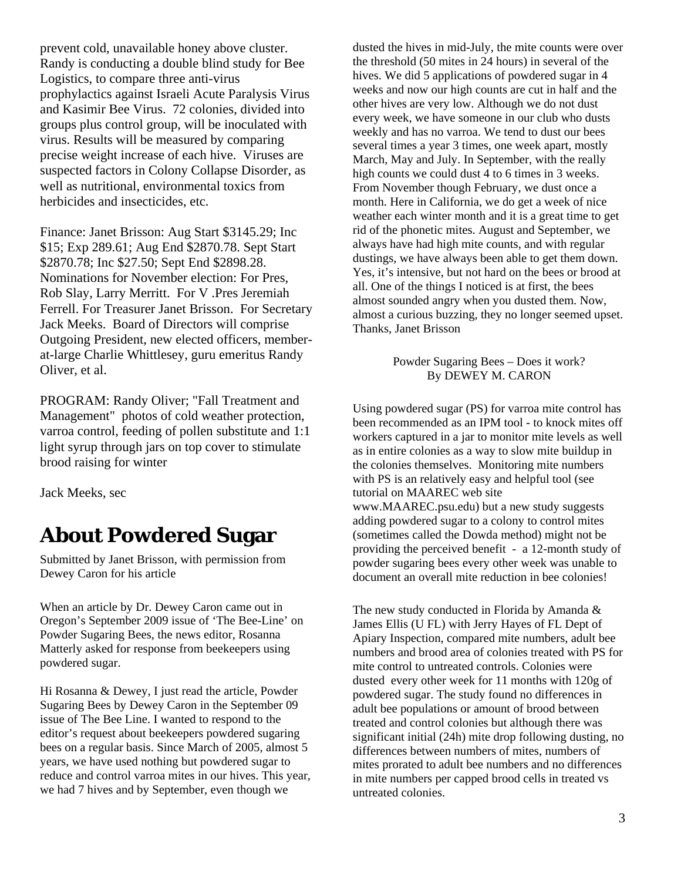prevent cold, unavailable honey above cluster. Randy is conducting a double blind study for Bee Logistics, to compare three anti-virus prophylactics against Israeli Acute Paralysis Virus and Kasimir Bee Virus. 72 colonies, divided into groups plus control group, will be inoculated with virus. Results will be measured by comparing precise weight increase of each hive. Viruses are suspected factors in Colony Collapse Disorder, as well as nutritional, environmental toxics from herbicides and insecticides, etc.

Finance: Janet Brisson: Aug Start \$3145.29; Inc \$15; Exp 289.61; Aug End \$2870.78. Sept Start \$2870.78; Inc \$27.50; Sept End \$2898.28. Nominations for November election: For Pres, Rob Slay, Larry Merritt. For V .Pres Jeremiah Ferrell. For Treasurer Janet Brisson. For Secretary Jack Meeks. Board of Directors will comprise Outgoing President, new elected officers, memberat-large Charlie Whittlesey, guru emeritus Randy Oliver, et al.

PROGRAM: Randy Oliver; "Fall Treatment and Management" photos of cold weather protection, varroa control, feeding of pollen substitute and 1:1 light syrup through jars on top cover to stimulate brood raising for winter

Jack Meeks, sec

## **About Powdered Sugar**

Submitted by Janet Brisson, with permission from Dewey Caron for his article

When an article by Dr. Dewey Caron came out in Oregon's September 2009 issue of 'The Bee-Line' on Powder Sugaring Bees, the news editor, Rosanna Matterly asked for response from beekeepers using powdered sugar.

Hi Rosanna & Dewey, I just read the article, Powder Sugaring Bees by Dewey Caron in the September 09 issue of The Bee Line. I wanted to respond to the editor's request about beekeepers powdered sugaring bees on a regular basis. Since March of 2005, almost 5 years, we have used nothing but powdered sugar to reduce and control varroa mites in our hives. This year, we had 7 hives and by September, even though we

dusted the hives in mid-July, the mite counts were over the threshold (50 mites in 24 hours) in several of the hives. We did 5 applications of powdered sugar in 4 weeks and now our high counts are cut in half and the other hives are very low. Although we do not dust every week, we have someone in our club who dusts weekly and has no varroa. We tend to dust our bees several times a year 3 times, one week apart, mostly March, May and July. In September, with the really high counts we could dust 4 to 6 times in 3 weeks. From November though February, we dust once a month. Here in California, we do get a week of nice weather each winter month and it is a great time to get rid of the phonetic mites. August and September, we always have had high mite counts, and with regular dustings, we have always been able to get them down. Yes, it's intensive, but not hard on the bees or brood at all. One of the things I noticed is at first, the bees almost sounded angry when you dusted them. Now, almost a curious buzzing, they no longer seemed upset. Thanks, Janet Brisson

#### Powder Sugaring Bees – Does it work? By DEWEY M. CARON

Using powdered sugar (PS) for varroa mite control has been recommended as an IPM tool - to knock mites off workers captured in a jar to monitor mite levels as well as in entire colonies as a way to slow mite buildup in the colonies themselves. Monitoring mite numbers with PS is an relatively easy and helpful tool (see tutorial on MAAREC web site www.MAAREC.psu.edu) but a new study suggests adding powdered sugar to a colony to control mites (sometimes called the Dowda method) might not be providing the perceived benefit - a 12-month study of powder sugaring bees every other week was unable to document an overall mite reduction in bee colonies!

The new study conducted in Florida by Amanda & James Ellis (U FL) with Jerry Hayes of FL Dept of Apiary Inspection, compared mite numbers, adult bee numbers and brood area of colonies treated with PS for mite control to untreated controls. Colonies were dusted every other week for 11 months with 120g of powdered sugar. The study found no differences in adult bee populations or amount of brood between treated and control colonies but although there was significant initial (24h) mite drop following dusting, no differences between numbers of mites, numbers of mites prorated to adult bee numbers and no differences in mite numbers per capped brood cells in treated vs untreated colonies.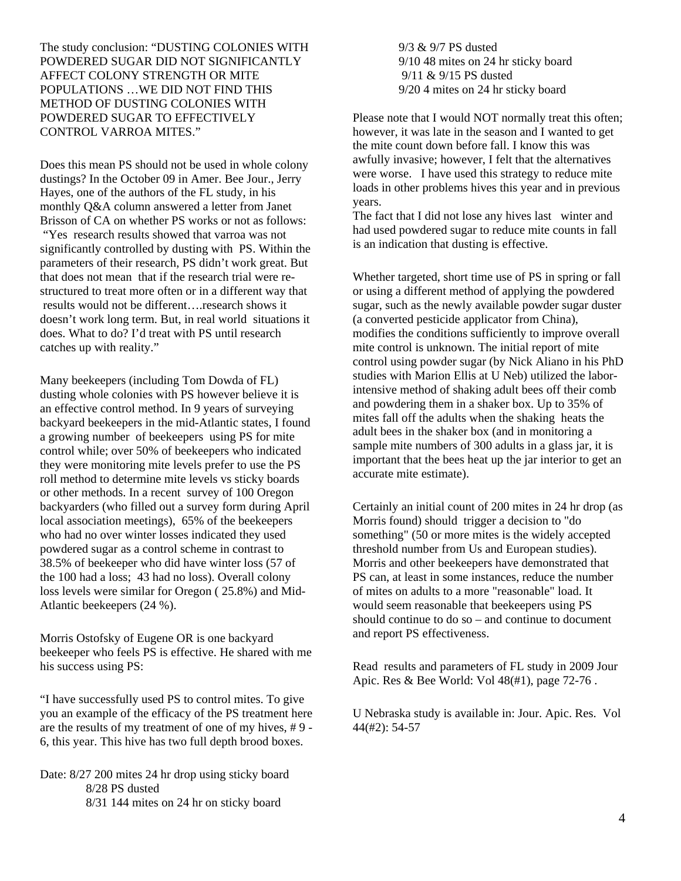The study conclusion: "DUSTING COLONIES WITH POWDERED SUGAR DID NOT SIGNIFICANTLY AFFECT COLONY STRENGTH OR MITE POPULATIONS …WE DID NOT FIND THIS METHOD OF DUSTING COLONIES WITH POWDERED SUGAR TO EFFECTIVELY CONTROL VARROA MITES."

Does this mean PS should not be used in whole colony dustings? In the October 09 in Amer. Bee Jour., Jerry Hayes, one of the authors of the FL study, in his monthly Q&A column answered a letter from Janet Brisson of CA on whether PS works or not as follows: "Yes research results showed that varroa was not significantly controlled by dusting with PS. Within the parameters of their research, PS didn't work great. But that does not mean that if the research trial were restructured to treat more often or in a different way that results would not be different….research shows it doesn't work long term. But, in real world situations it does. What to do? I'd treat with PS until research catches up with reality."

Many beekeepers (including Tom Dowda of FL) dusting whole colonies with PS however believe it is an effective control method. In 9 years of surveying backyard beekeepers in the mid-Atlantic states, I found a growing number of beekeepers using PS for mite control while; over 50% of beekeepers who indicated they were monitoring mite levels prefer to use the PS roll method to determine mite levels vs sticky boards or other methods. In a recent survey of 100 Oregon backyarders (who filled out a survey form during April local association meetings), 65% of the beekeepers who had no over winter losses indicated they used powdered sugar as a control scheme in contrast to 38.5% of beekeeper who did have winter loss (57 of the 100 had a loss; 43 had no loss). Overall colony loss levels were similar for Oregon ( 25.8%) and Mid-Atlantic beekeepers (24 %).

Morris Ostofsky of Eugene OR is one backyard beekeeper who feels PS is effective. He shared with me his success using PS:

"I have successfully used PS to control mites. To give you an example of the efficacy of the PS treatment here are the results of my treatment of one of my hives, # 9 - 6, this year. This hive has two full depth brood boxes.

Date: 8/27 200 mites 24 hr drop using sticky board 8/28 PS dusted 8/31 144 mites on 24 hr on sticky board

 9/3 & 9/7 PS dusted 9/10 48 mites on 24 hr sticky board 9/11 & 9/15 PS dusted 9/20 4 mites on 24 hr sticky board

Please note that I would NOT normally treat this often; however, it was late in the season and I wanted to get the mite count down before fall. I know this was awfully invasive; however, I felt that the alternatives were worse. I have used this strategy to reduce mite loads in other problems hives this year and in previous years.

The fact that I did not lose any hives last winter and had used powdered sugar to reduce mite counts in fall is an indication that dusting is effective.

Whether targeted, short time use of PS in spring or fall or using a different method of applying the powdered sugar, such as the newly available powder sugar duster (a converted pesticide applicator from China), modifies the conditions sufficiently to improve overall mite control is unknown. The initial report of mite control using powder sugar (by Nick Aliano in his PhD studies with Marion Ellis at U Neb) utilized the laborintensive method of shaking adult bees off their comb and powdering them in a shaker box. Up to 35% of mites fall off the adults when the shaking heats the adult bees in the shaker box (and in monitoring a sample mite numbers of 300 adults in a glass jar, it is important that the bees heat up the jar interior to get an accurate mite estimate).

Certainly an initial count of 200 mites in 24 hr drop (as Morris found) should trigger a decision to "do something" (50 or more mites is the widely accepted threshold number from Us and European studies). Morris and other beekeepers have demonstrated that PS can, at least in some instances, reduce the number of mites on adults to a more "reasonable" load. It would seem reasonable that beekeepers using PS should continue to do so – and continue to document and report PS effectiveness.

Read results and parameters of FL study in 2009 Jour Apic. Res & Bee World: Vol 48(#1), page 72-76 .

U Nebraska study is available in: Jour. Apic. Res. Vol 44(#2): 54-57